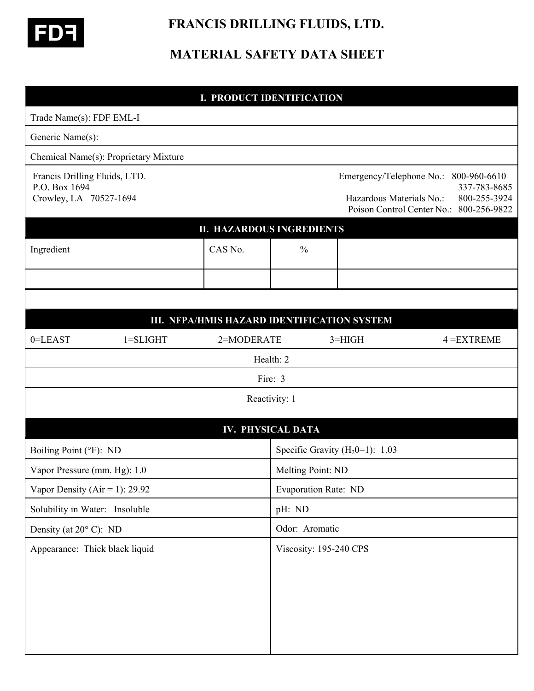

 **FRANCIS DRILLING FLUIDS, LTD.** 

## **MATERIAL SAFETY DATA SHEET**

# **I. PRODUCT IDENTIFICATION** Trade Name(s): FDF EML-I Generic Name(s): Chemical Name(s): Proprietary Mixture Francis Drilling Fluids, LTD. Emergency/Telephone No.: 800-960-6610 P.O. Box 1694 337-783-8685 Crowley, LA 70527-1694 Hazardous Materials No.: 800-255-3924 Poison Control Center No.: 800-256-9822 **II. HAZARDOUS INGREDIENTS** Ingredient  $\begin{array}{ccc} \sim & \sim & \sim \\ \sim & \sim & \sim \end{array}$ I **III. NFPA/HMIS HAZARD IDENTIFICATION SYSTEM** 0=LEAST 1=SLIGHT 2=MODERATE 3=HIGH 4 =EXTREME Health: 2 Fire: 3 Reactivity: 1 **IV. PHYSICAL DATA** Boiling Point ( ${}^{\circ}$ F): ND Specific Gravity ( $H_2$ 0=1): 1.03 Vapor Pressure (mm. Hg): 1.0 Melting Point: ND Vapor Density (Air = 1): 29.92 Evaporation Rate: ND Solubility in Water: Insoluble pH: ND Density (at  $20^{\circ}$  C): ND Odor: Aromatic Appearance: Thick black liquid Viscosity: 195-240 CPS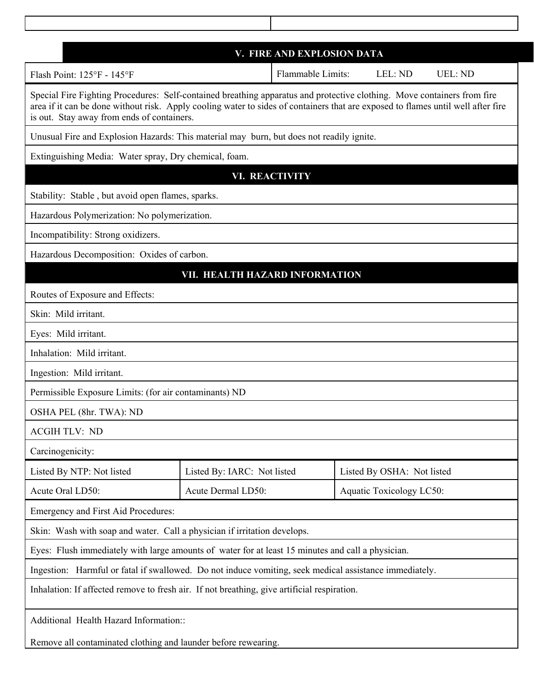| V. FIRE AND EXPLOSION DATA                                                                                                                                                                                                                                                                                |                             |                   |                            |                |  |
|-----------------------------------------------------------------------------------------------------------------------------------------------------------------------------------------------------------------------------------------------------------------------------------------------------------|-----------------------------|-------------------|----------------------------|----------------|--|
| Flash Point: 125°F - 145°F                                                                                                                                                                                                                                                                                |                             | Flammable Limits: | LEL: ND                    | <b>UEL: ND</b> |  |
| Special Fire Fighting Procedures: Self-contained breathing apparatus and protective clothing. Move containers from fire<br>area if it can be done without risk. Apply cooling water to sides of containers that are exposed to flames until well after fire<br>is out. Stay away from ends of containers. |                             |                   |                            |                |  |
| Unusual Fire and Explosion Hazards: This material may burn, but does not readily ignite.                                                                                                                                                                                                                  |                             |                   |                            |                |  |
| Extinguishing Media: Water spray, Dry chemical, foam.                                                                                                                                                                                                                                                     |                             |                   |                            |                |  |
| <b>VI. REACTIVITY</b>                                                                                                                                                                                                                                                                                     |                             |                   |                            |                |  |
| Stability: Stable, but avoid open flames, sparks.                                                                                                                                                                                                                                                         |                             |                   |                            |                |  |
| Hazardous Polymerization: No polymerization.                                                                                                                                                                                                                                                              |                             |                   |                            |                |  |
| Incompatibility: Strong oxidizers.                                                                                                                                                                                                                                                                        |                             |                   |                            |                |  |
| Hazardous Decomposition: Oxides of carbon.                                                                                                                                                                                                                                                                |                             |                   |                            |                |  |
| VII. HEALTH HAZARD INFORMATION                                                                                                                                                                                                                                                                            |                             |                   |                            |                |  |
| Routes of Exposure and Effects:                                                                                                                                                                                                                                                                           |                             |                   |                            |                |  |
| Skin: Mild irritant.                                                                                                                                                                                                                                                                                      |                             |                   |                            |                |  |
| Eyes: Mild irritant.                                                                                                                                                                                                                                                                                      |                             |                   |                            |                |  |
| Inhalation: Mild irritant.                                                                                                                                                                                                                                                                                |                             |                   |                            |                |  |
| Ingestion: Mild irritant.                                                                                                                                                                                                                                                                                 |                             |                   |                            |                |  |
| Permissible Exposure Limits: (for air contaminants) ND                                                                                                                                                                                                                                                    |                             |                   |                            |                |  |
| OSHA PEL (8hr. TWA): ND                                                                                                                                                                                                                                                                                   |                             |                   |                            |                |  |
| <b>ACGIH TLV: ND</b>                                                                                                                                                                                                                                                                                      |                             |                   |                            |                |  |
| Carcinogenicity:                                                                                                                                                                                                                                                                                          |                             |                   |                            |                |  |
| Listed By NTP: Not listed                                                                                                                                                                                                                                                                                 | Listed By: IARC: Not listed |                   | Listed By OSHA: Not listed |                |  |
| Acute Oral LD50:                                                                                                                                                                                                                                                                                          | Acute Dermal LD50:          |                   | Aquatic Toxicology LC50:   |                |  |
| Emergency and First Aid Procedures:                                                                                                                                                                                                                                                                       |                             |                   |                            |                |  |
| Skin: Wash with soap and water. Call a physician if irritation develops.                                                                                                                                                                                                                                  |                             |                   |                            |                |  |
| Eyes: Flush immediately with large amounts of water for at least 15 minutes and call a physician.                                                                                                                                                                                                         |                             |                   |                            |                |  |
| Ingestion: Harmful or fatal if swallowed. Do not induce vomiting, seek medical assistance immediately.                                                                                                                                                                                                    |                             |                   |                            |                |  |
| Inhalation: If affected remove to fresh air. If not breathing, give artificial respiration.                                                                                                                                                                                                               |                             |                   |                            |                |  |
| Additional Health Hazard Information::                                                                                                                                                                                                                                                                    |                             |                   |                            |                |  |
| Remove all contaminated clothing and launder before rewearing.                                                                                                                                                                                                                                            |                             |                   |                            |                |  |